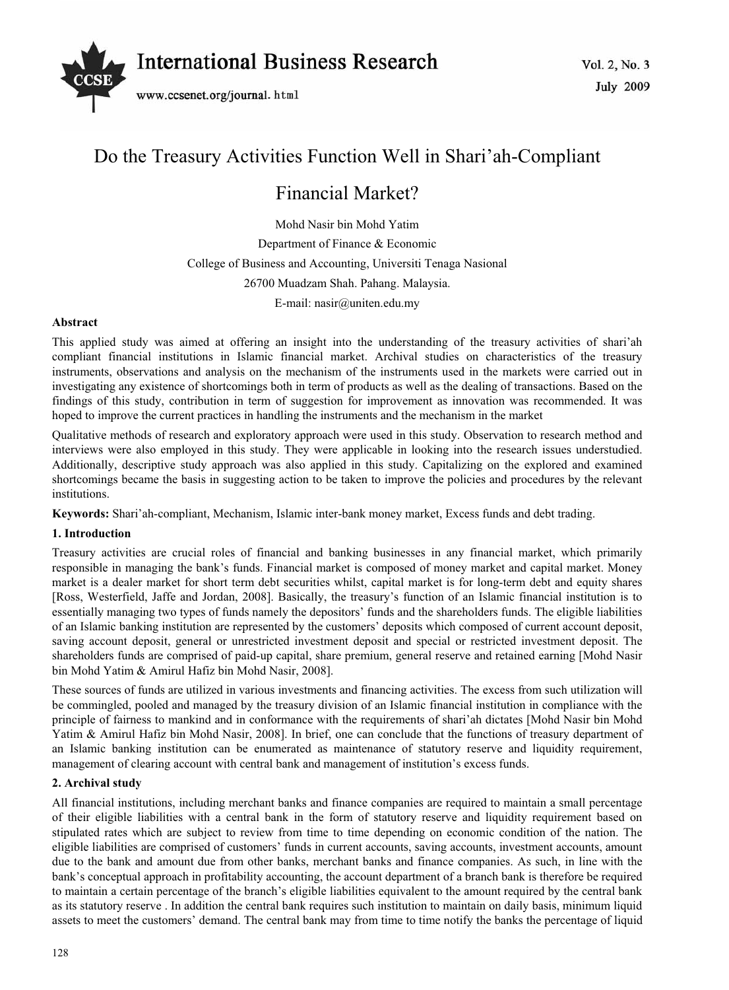

# Do the Treasury Activities Function Well in Shari'ah-Compliant

# Financial Market?

Mohd Nasir bin Mohd Yatim Department of Finance & Economic College of Business and Accounting, Universiti Tenaga Nasional 26700 Muadzam Shah. Pahang. Malaysia. E-mail: nasir@uniten.edu.my

## **Abstract**

This applied study was aimed at offering an insight into the understanding of the treasury activities of shari'ah compliant financial institutions in Islamic financial market. Archival studies on characteristics of the treasury instruments, observations and analysis on the mechanism of the instruments used in the markets were carried out in investigating any existence of shortcomings both in term of products as well as the dealing of transactions. Based on the findings of this study, contribution in term of suggestion for improvement as innovation was recommended. It was hoped to improve the current practices in handling the instruments and the mechanism in the market

Qualitative methods of research and exploratory approach were used in this study. Observation to research method and interviews were also employed in this study. They were applicable in looking into the research issues understudied. Additionally, descriptive study approach was also applied in this study. Capitalizing on the explored and examined shortcomings became the basis in suggesting action to be taken to improve the policies and procedures by the relevant institutions.

**Keywords:** Shari'ah-compliant, Mechanism, Islamic inter-bank money market, Excess funds and debt trading.

## **1. Introduction**

Treasury activities are crucial roles of financial and banking businesses in any financial market, which primarily responsible in managing the bank's funds. Financial market is composed of money market and capital market. Money market is a dealer market for short term debt securities whilst, capital market is for long-term debt and equity shares [Ross, Westerfield, Jaffe and Jordan, 2008]. Basically, the treasury's function of an Islamic financial institution is to essentially managing two types of funds namely the depositors' funds and the shareholders funds. The eligible liabilities of an Islamic banking institution are represented by the customers' deposits which composed of current account deposit, saving account deposit, general or unrestricted investment deposit and special or restricted investment deposit. The shareholders funds are comprised of paid-up capital, share premium, general reserve and retained earning [Mohd Nasir bin Mohd Yatim & Amirul Hafiz bin Mohd Nasir, 2008].

These sources of funds are utilized in various investments and financing activities. The excess from such utilization will be commingled, pooled and managed by the treasury division of an Islamic financial institution in compliance with the principle of fairness to mankind and in conformance with the requirements of shari'ah dictates [Mohd Nasir bin Mohd Yatim & Amirul Hafiz bin Mohd Nasir, 2008]. In brief, one can conclude that the functions of treasury department of an Islamic banking institution can be enumerated as maintenance of statutory reserve and liquidity requirement, management of clearing account with central bank and management of institution's excess funds.

### **2. Archival study**

All financial institutions, including merchant banks and finance companies are required to maintain a small percentage of their eligible liabilities with a central bank in the form of statutory reserve and liquidity requirement based on stipulated rates which are subject to review from time to time depending on economic condition of the nation. The eligible liabilities are comprised of customers' funds in current accounts, saving accounts, investment accounts, amount due to the bank and amount due from other banks, merchant banks and finance companies. As such, in line with the bank's conceptual approach in profitability accounting, the account department of a branch bank is therefore be required to maintain a certain percentage of the branch's eligible liabilities equivalent to the amount required by the central bank as its statutory reserve . In addition the central bank requires such institution to maintain on daily basis, minimum liquid assets to meet the customers' demand. The central bank may from time to time notify the banks the percentage of liquid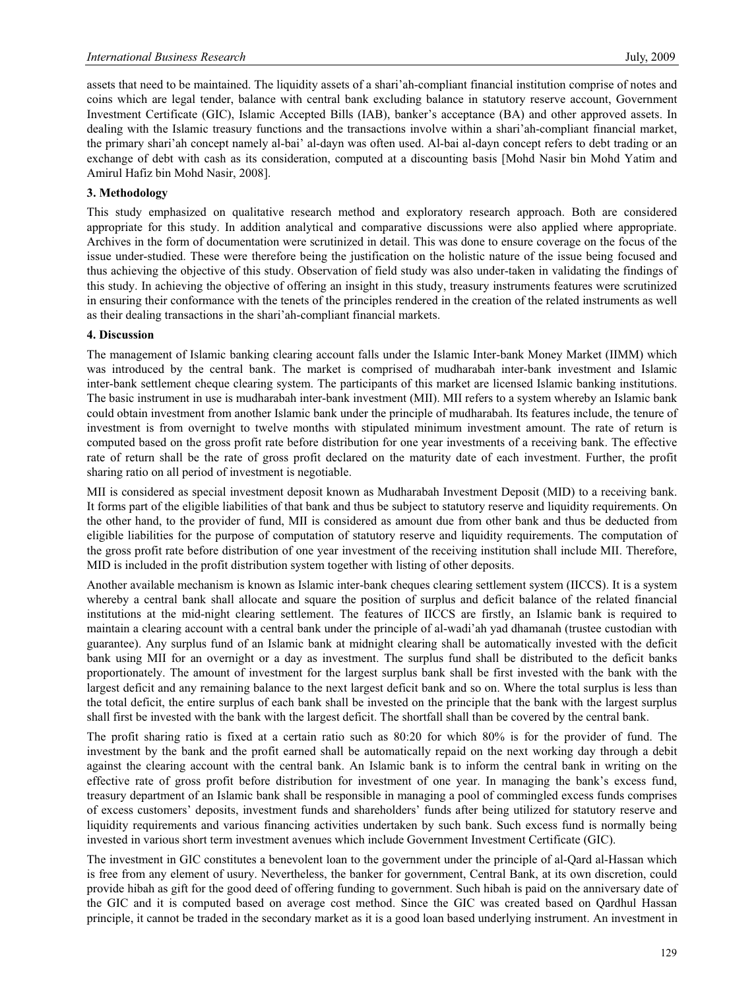assets that need to be maintained. The liquidity assets of a shari'ah-compliant financial institution comprise of notes and coins which are legal tender, balance with central bank excluding balance in statutory reserve account, Government Investment Certificate (GIC), Islamic Accepted Bills (IAB), banker's acceptance (BA) and other approved assets. In dealing with the Islamic treasury functions and the transactions involve within a shari'ah-compliant financial market, the primary shari'ah concept namely al-bai' al-dayn was often used. Al-bai al-dayn concept refers to debt trading or an exchange of debt with cash as its consideration, computed at a discounting basis [Mohd Nasir bin Mohd Yatim and Amirul Hafiz bin Mohd Nasir, 2008].

## **3. Methodology**

This study emphasized on qualitative research method and exploratory research approach. Both are considered appropriate for this study. In addition analytical and comparative discussions were also applied where appropriate. Archives in the form of documentation were scrutinized in detail. This was done to ensure coverage on the focus of the issue under-studied. These were therefore being the justification on the holistic nature of the issue being focused and thus achieving the objective of this study. Observation of field study was also under-taken in validating the findings of this study. In achieving the objective of offering an insight in this study, treasury instruments features were scrutinized in ensuring their conformance with the tenets of the principles rendered in the creation of the related instruments as well as their dealing transactions in the shari'ah-compliant financial markets.

## **4. Discussion**

The management of Islamic banking clearing account falls under the Islamic Inter-bank Money Market (IIMM) which was introduced by the central bank. The market is comprised of mudharabah inter-bank investment and Islamic inter-bank settlement cheque clearing system. The participants of this market are licensed Islamic banking institutions. The basic instrument in use is mudharabah inter-bank investment (MII). MII refers to a system whereby an Islamic bank could obtain investment from another Islamic bank under the principle of mudharabah. Its features include, the tenure of investment is from overnight to twelve months with stipulated minimum investment amount. The rate of return is computed based on the gross profit rate before distribution for one year investments of a receiving bank. The effective rate of return shall be the rate of gross profit declared on the maturity date of each investment. Further, the profit sharing ratio on all period of investment is negotiable.

MII is considered as special investment deposit known as Mudharabah Investment Deposit (MID) to a receiving bank. It forms part of the eligible liabilities of that bank and thus be subject to statutory reserve and liquidity requirements. On the other hand, to the provider of fund, MII is considered as amount due from other bank and thus be deducted from eligible liabilities for the purpose of computation of statutory reserve and liquidity requirements. The computation of the gross profit rate before distribution of one year investment of the receiving institution shall include MII. Therefore, MID is included in the profit distribution system together with listing of other deposits.

Another available mechanism is known as Islamic inter-bank cheques clearing settlement system (IICCS). It is a system whereby a central bank shall allocate and square the position of surplus and deficit balance of the related financial institutions at the mid-night clearing settlement. The features of IICCS are firstly, an Islamic bank is required to maintain a clearing account with a central bank under the principle of al-wadi'ah yad dhamanah (trustee custodian with guarantee). Any surplus fund of an Islamic bank at midnight clearing shall be automatically invested with the deficit bank using MII for an overnight or a day as investment. The surplus fund shall be distributed to the deficit banks proportionately. The amount of investment for the largest surplus bank shall be first invested with the bank with the largest deficit and any remaining balance to the next largest deficit bank and so on. Where the total surplus is less than the total deficit, the entire surplus of each bank shall be invested on the principle that the bank with the largest surplus shall first be invested with the bank with the largest deficit. The shortfall shall than be covered by the central bank.

The profit sharing ratio is fixed at a certain ratio such as 80:20 for which 80% is for the provider of fund. The investment by the bank and the profit earned shall be automatically repaid on the next working day through a debit against the clearing account with the central bank. An Islamic bank is to inform the central bank in writing on the effective rate of gross profit before distribution for investment of one year. In managing the bank's excess fund, treasury department of an Islamic bank shall be responsible in managing a pool of commingled excess funds comprises of excess customers' deposits, investment funds and shareholders' funds after being utilized for statutory reserve and liquidity requirements and various financing activities undertaken by such bank. Such excess fund is normally being invested in various short term investment avenues which include Government Investment Certificate (GIC).

The investment in GIC constitutes a benevolent loan to the government under the principle of al-Qard al-Hassan which is free from any element of usury. Nevertheless, the banker for government, Central Bank, at its own discretion, could provide hibah as gift for the good deed of offering funding to government. Such hibah is paid on the anniversary date of the GIC and it is computed based on average cost method. Since the GIC was created based on Qardhul Hassan principle, it cannot be traded in the secondary market as it is a good loan based underlying instrument. An investment in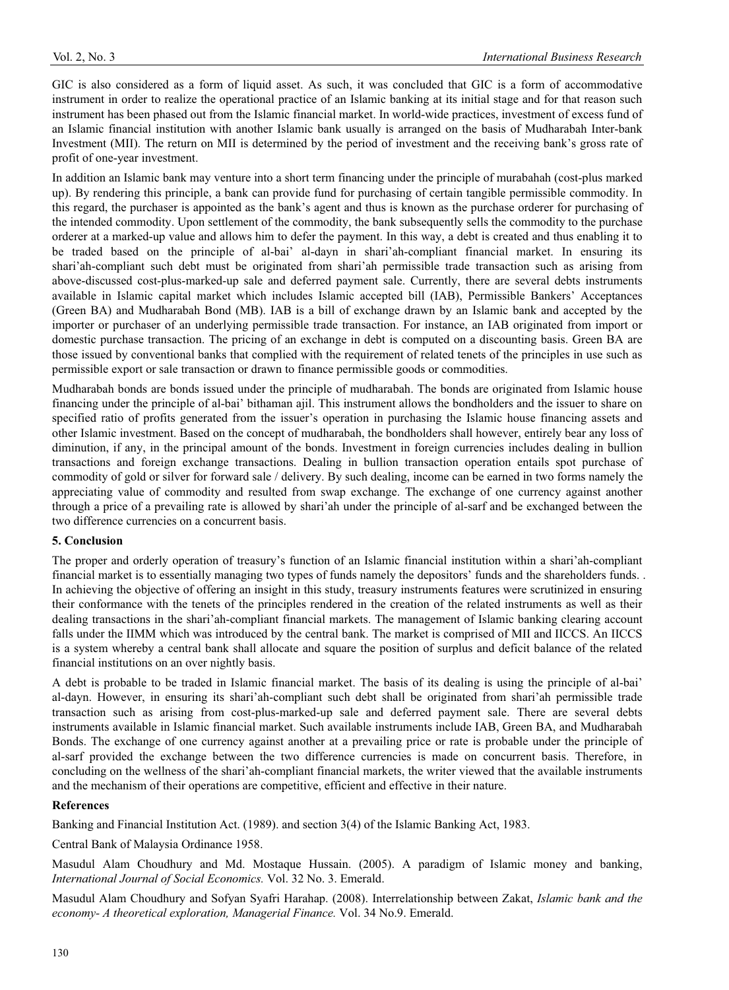GIC is also considered as a form of liquid asset. As such, it was concluded that GIC is a form of accommodative instrument in order to realize the operational practice of an Islamic banking at its initial stage and for that reason such instrument has been phased out from the Islamic financial market. In world-wide practices, investment of excess fund of an Islamic financial institution with another Islamic bank usually is arranged on the basis of Mudharabah Inter-bank Investment (MII). The return on MII is determined by the period of investment and the receiving bank's gross rate of profit of one-year investment.

In addition an Islamic bank may venture into a short term financing under the principle of murabahah (cost-plus marked up). By rendering this principle, a bank can provide fund for purchasing of certain tangible permissible commodity. In this regard, the purchaser is appointed as the bank's agent and thus is known as the purchase orderer for purchasing of the intended commodity. Upon settlement of the commodity, the bank subsequently sells the commodity to the purchase orderer at a marked-up value and allows him to defer the payment. In this way, a debt is created and thus enabling it to be traded based on the principle of al-bai' al-dayn in shari'ah-compliant financial market. In ensuring its shari'ah-compliant such debt must be originated from shari'ah permissible trade transaction such as arising from above-discussed cost-plus-marked-up sale and deferred payment sale. Currently, there are several debts instruments available in Islamic capital market which includes Islamic accepted bill (IAB), Permissible Bankers' Acceptances (Green BA) and Mudharabah Bond (MB). IAB is a bill of exchange drawn by an Islamic bank and accepted by the importer or purchaser of an underlying permissible trade transaction. For instance, an IAB originated from import or domestic purchase transaction. The pricing of an exchange in debt is computed on a discounting basis. Green BA are those issued by conventional banks that complied with the requirement of related tenets of the principles in use such as permissible export or sale transaction or drawn to finance permissible goods or commodities.

Mudharabah bonds are bonds issued under the principle of mudharabah. The bonds are originated from Islamic house financing under the principle of al-bai' bithaman ajil. This instrument allows the bondholders and the issuer to share on specified ratio of profits generated from the issuer's operation in purchasing the Islamic house financing assets and other Islamic investment. Based on the concept of mudharabah, the bondholders shall however, entirely bear any loss of diminution, if any, in the principal amount of the bonds. Investment in foreign currencies includes dealing in bullion transactions and foreign exchange transactions. Dealing in bullion transaction operation entails spot purchase of commodity of gold or silver for forward sale / delivery. By such dealing, income can be earned in two forms namely the appreciating value of commodity and resulted from swap exchange. The exchange of one currency against another through a price of a prevailing rate is allowed by shari'ah under the principle of al-sarf and be exchanged between the two difference currencies on a concurrent basis.

### **5. Conclusion**

The proper and orderly operation of treasury's function of an Islamic financial institution within a shari'ah-compliant financial market is to essentially managing two types of funds namely the depositors' funds and the shareholders funds. . In achieving the objective of offering an insight in this study, treasury instruments features were scrutinized in ensuring their conformance with the tenets of the principles rendered in the creation of the related instruments as well as their dealing transactions in the shari'ah-compliant financial markets. The management of Islamic banking clearing account falls under the IIMM which was introduced by the central bank. The market is comprised of MII and IICCS. An IICCS is a system whereby a central bank shall allocate and square the position of surplus and deficit balance of the related financial institutions on an over nightly basis.

A debt is probable to be traded in Islamic financial market. The basis of its dealing is using the principle of al-bai' al-dayn. However, in ensuring its shari'ah-compliant such debt shall be originated from shari'ah permissible trade transaction such as arising from cost-plus-marked-up sale and deferred payment sale. There are several debts instruments available in Islamic financial market. Such available instruments include IAB, Green BA, and Mudharabah Bonds. The exchange of one currency against another at a prevailing price or rate is probable under the principle of al-sarf provided the exchange between the two difference currencies is made on concurrent basis. Therefore, in concluding on the wellness of the shari'ah-compliant financial markets, the writer viewed that the available instruments and the mechanism of their operations are competitive, efficient and effective in their nature.

### **References**

Banking and Financial Institution Act. (1989). and section 3(4) of the Islamic Banking Act, 1983.

Central Bank of Malaysia Ordinance 1958.

Masudul Alam Choudhury and Md. Mostaque Hussain. (2005). A paradigm of Islamic money and banking, *International Journal of Social Economics.* Vol. 32 No. 3. Emerald.

Masudul Alam Choudhury and Sofyan Syafri Harahap. (2008). Interrelationship between Zakat, *Islamic bank and the economy- A theoretical exploration, Managerial Finance.* Vol. 34 No.9. Emerald.